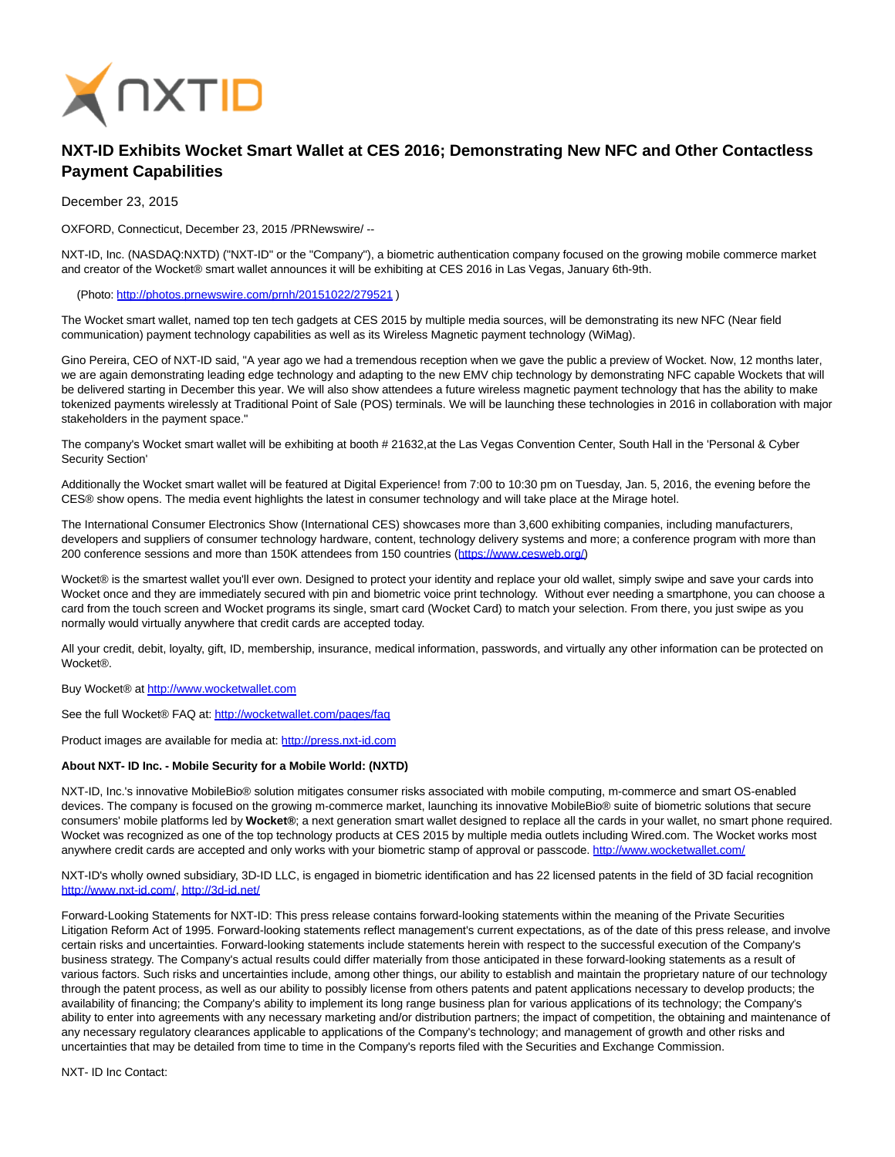

## **NXT-ID Exhibits Wocket Smart Wallet at CES 2016; Demonstrating New NFC and Other Contactless Payment Capabilities**

December 23, 2015

OXFORD, Connecticut, December 23, 2015 /PRNewswire/ --

NXT-ID, Inc. (NASDAQ:NXTD) ("NXT-ID" or the "Company"), a biometric authentication company focused on the growing mobile commerce market and creator of the Wocket® smart wallet announces it will be exhibiting at CES 2016 in Las Vegas, January 6th-9th.

(Photo: [http://photos.prnewswire.com/prnh/20151022/279521 \)](http://photos.prnewswire.com/prnh/20151022/279521)

The Wocket smart wallet, named top ten tech gadgets at CES 2015 by multiple media sources, will be demonstrating its new NFC (Near field communication) payment technology capabilities as well as its Wireless Magnetic payment technology (WiMag).

Gino Pereira, CEO of NXT-ID said, "A year ago we had a tremendous reception when we gave the public a preview of Wocket. Now, 12 months later, we are again demonstrating leading edge technology and adapting to the new EMV chip technology by demonstrating NFC capable Wockets that will be delivered starting in December this year. We will also show attendees a future wireless magnetic payment technology that has the ability to make tokenized payments wirelessly at Traditional Point of Sale (POS) terminals. We will be launching these technologies in 2016 in collaboration with major stakeholders in the payment space."

The company's Wocket smart wallet will be exhibiting at booth # 21632,at the Las Vegas Convention Center, South Hall in the 'Personal & Cyber Security Section'

Additionally the Wocket smart wallet will be featured at Digital Experience! from 7:00 to 10:30 pm on Tuesday, Jan. 5, 2016, the evening before the CES® show opens. The media event highlights the latest in consumer technology and will take place at the Mirage hotel.

The International Consumer Electronics Show (International CES) showcases more than 3,600 exhibiting companies, including manufacturers, developers and suppliers of consumer technology hardware, content, technology delivery systems and more; a conference program with more than 200 conference sessions and more than 150K attendees from 150 countries [\(https://www.cesweb.org/\)](https://www.cesweb.org/)

Wocket® is the smartest wallet you'll ever own. Designed to protect your identity and replace your old wallet, simply swipe and save your cards into Wocket once and they are immediately secured with pin and biometric voice print technology. Without ever needing a smartphone, you can choose a card from the touch screen and Wocket programs its single, smart card (Wocket Card) to match your selection. From there, you just swipe as you normally would virtually anywhere that credit cards are accepted today.

All your credit, debit, loyalty, gift, ID, membership, insurance, medical information, passwords, and virtually any other information can be protected on **Wocket®** 

Buy Wocket® at [http://www.wocketwallet.com](http://www.wocketwallet.com/)

See the full Wocket® FAQ at:<http://wocketwallet.com/pages/faq>

Product images are available for media at: [http://press.nxt-id.com](http://press.nxt-id.com/)

## **About NXT- ID Inc. - Mobile Security for a Mobile World: (NXTD)**

NXT-ID, Inc.'s innovative MobileBio® solution mitigates consumer risks associated with mobile computing, m-commerce and smart OS-enabled devices. The company is focused on the growing m-commerce market, launching its innovative MobileBio® suite of biometric solutions that secure consumers' mobile platforms led by **Wocket®**; a next generation smart wallet designed to replace all the cards in your wallet, no smart phone required. Wocket was recognized as one of the top technology products at CES 2015 by multiple media outlets including Wired.com. The Wocket works most anywhere credit cards are accepted and only works with your biometric stamp of approval or passcode.<http://www.wocketwallet.com/>

NXT-ID's wholly owned subsidiary, 3D-ID LLC, is engaged in biometric identification and has 22 licensed patents in the field of 3D facial recognition [http://www.nxt-id.com/,](http://www.nxt-id.com/)<http://3d-id.net/>

Forward-Looking Statements for NXT-ID: This press release contains forward-looking statements within the meaning of the Private Securities Litigation Reform Act of 1995. Forward-looking statements reflect management's current expectations, as of the date of this press release, and involve certain risks and uncertainties. Forward-looking statements include statements herein with respect to the successful execution of the Company's business strategy. The Company's actual results could differ materially from those anticipated in these forward-looking statements as a result of various factors. Such risks and uncertainties include, among other things, our ability to establish and maintain the proprietary nature of our technology through the patent process, as well as our ability to possibly license from others patents and patent applications necessary to develop products; the availability of financing; the Company's ability to implement its long range business plan for various applications of its technology; the Company's ability to enter into agreements with any necessary marketing and/or distribution partners; the impact of competition, the obtaining and maintenance of any necessary regulatory clearances applicable to applications of the Company's technology; and management of growth and other risks and uncertainties that may be detailed from time to time in the Company's reports filed with the Securities and Exchange Commission.

NXT- ID Inc Contact: